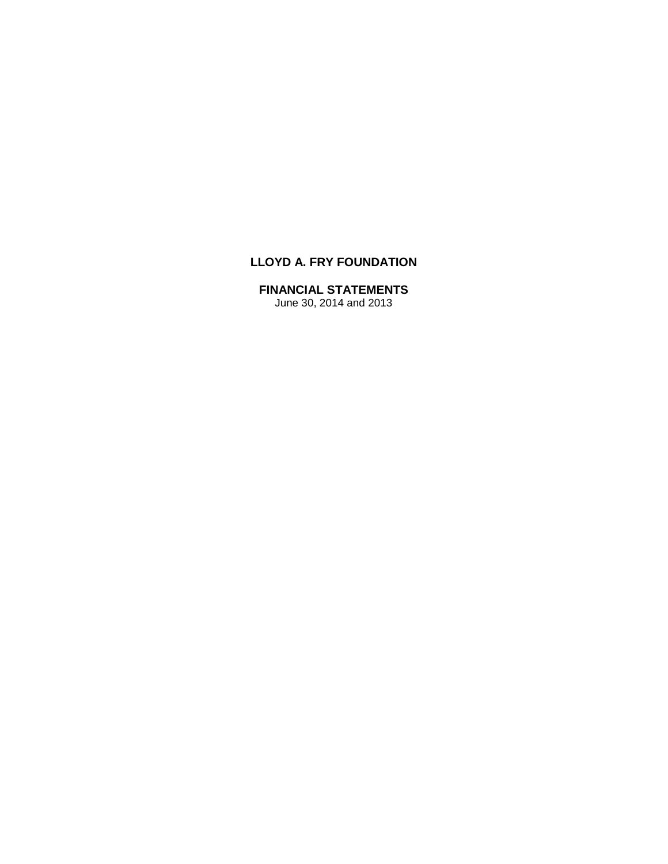# **LLOYD A. FRY FOUNDATION**

# **FINANCIAL STATEMENTS**

June 30, 2014 and 2013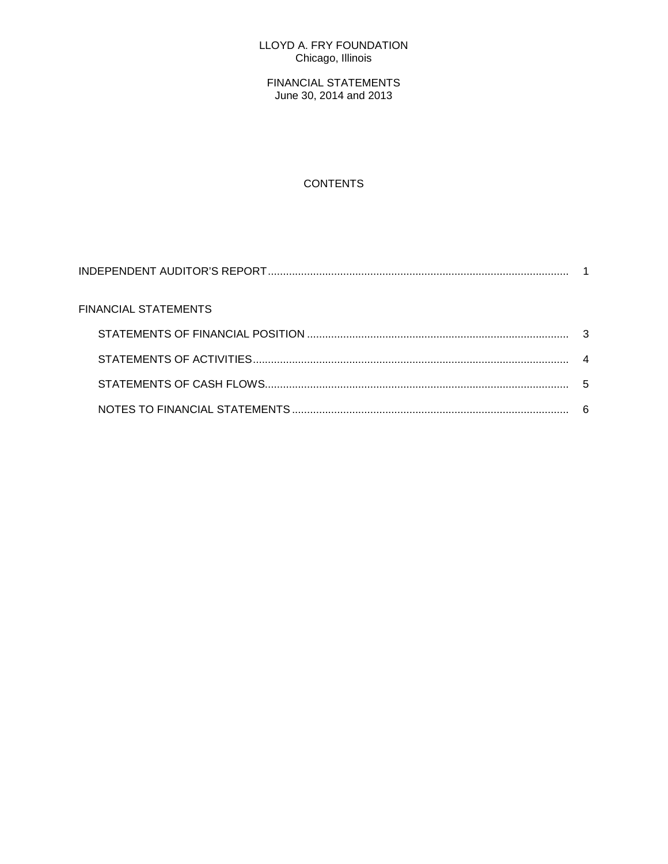# LLOYD A. FRY FOUNDATION Chicago, Illinois

FINANCIAL STATEMENTS June 30, 2014 and 2013

# **CONTENTS**

| FINANCIAL STATEMENTS |   |
|----------------------|---|
|                      |   |
|                      |   |
|                      | 5 |
|                      |   |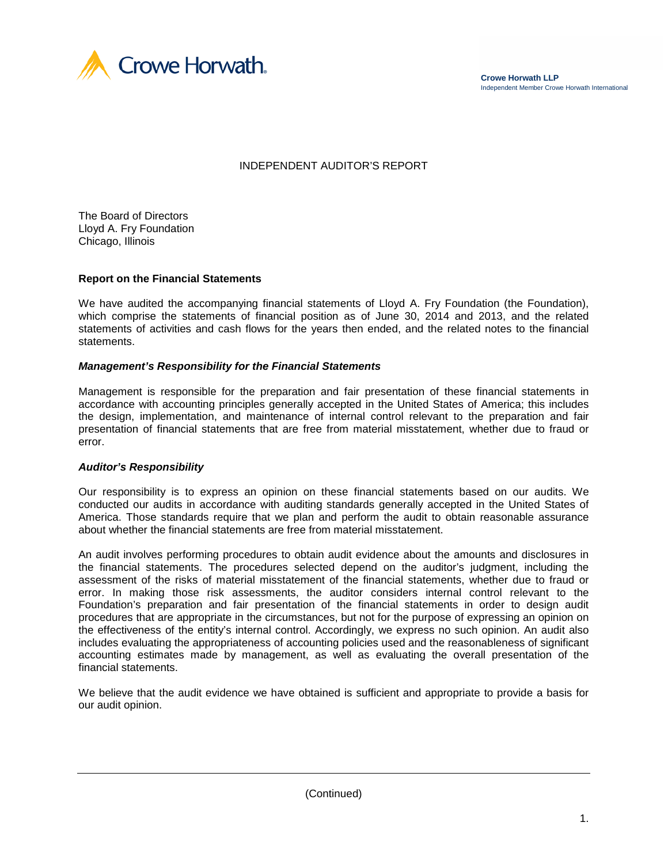

**Crowe Horwath LLP** Independent Member Crowe Horwath International

# INDEPENDENT AUDITOR'S REPORT

The Board of Directors Lloyd A. Fry Foundation Chicago, Illinois

#### **Report on the Financial Statements**

We have audited the accompanying financial statements of Lloyd A. Fry Foundation (the Foundation), which comprise the statements of financial position as of June 30, 2014 and 2013, and the related statements of activities and cash flows for the years then ended, and the related notes to the financial statements.

#### *Management's Responsibility for the Financial Statements*

Management is responsible for the preparation and fair presentation of these financial statements in accordance with accounting principles generally accepted in the United States of America; this includes the design, implementation, and maintenance of internal control relevant to the preparation and fair presentation of financial statements that are free from material misstatement, whether due to fraud or error.

#### *Auditor's Responsibility*

Our responsibility is to express an opinion on these financial statements based on our audits. We conducted our audits in accordance with auditing standards generally accepted in the United States of America. Those standards require that we plan and perform the audit to obtain reasonable assurance about whether the financial statements are free from material misstatement.

An audit involves performing procedures to obtain audit evidence about the amounts and disclosures in the financial statements. The procedures selected depend on the auditor's judgment, including the assessment of the risks of material misstatement of the financial statements, whether due to fraud or error. In making those risk assessments, the auditor considers internal control relevant to the Foundation's preparation and fair presentation of the financial statements in order to design audit procedures that are appropriate in the circumstances, but not for the purpose of expressing an opinion on the effectiveness of the entity's internal control. Accordingly, we express no such opinion. An audit also includes evaluating the appropriateness of accounting policies used and the reasonableness of significant accounting estimates made by management, as well as evaluating the overall presentation of the financial statements.

We believe that the audit evidence we have obtained is sufficient and appropriate to provide a basis for our audit opinion.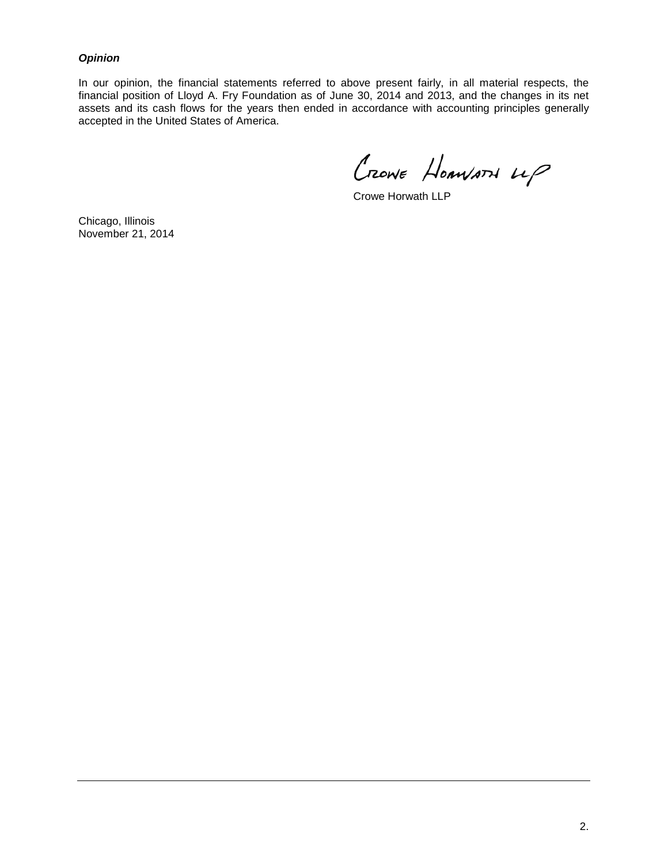# *Opinion*

In our opinion, the financial statements referred to above present fairly, in all material respects, the financial position of Lloyd A. Fry Foundation as of June 30, 2014 and 2013, and the changes in its net assets and its cash flows for the years then ended in accordance with accounting principles generally accepted in the United States of America.

Crowe Homvard up

Crowe Horwath LLP

Chicago, Illinois November 21, 2014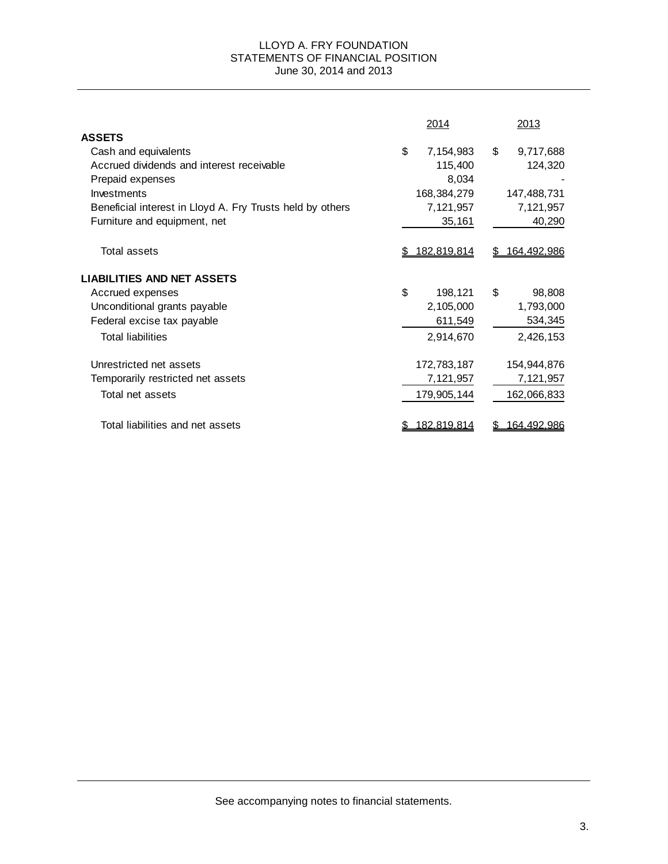### LLOYD A. FRY FOUNDATION STATEMENTS OF FINANCIAL POSITION June 30, 2014 and 2013

|                                                           | 2014               | <u> 2013</u>       |
|-----------------------------------------------------------|--------------------|--------------------|
| <b>ASSETS</b>                                             |                    |                    |
| Cash and equivalents                                      | \$<br>7,154,983    | \$<br>9,717,688    |
| Accrued dividends and interest receivable                 | 115,400            | 124,320            |
| Prepaid expenses                                          | 8,034              |                    |
| Investments                                               | 168,384,279        | 147,488,731        |
| Beneficial interest in Lloyd A. Fry Trusts held by others | 7,121,957          | 7,121,957          |
| Furniture and equipment, net                              | 35,161             | 40,290             |
| Total assets                                              | <u>182,819,814</u> | <u>164,492,986</u> |
| <b>LIABILITIES AND NET ASSETS</b>                         |                    |                    |
| Accrued expenses                                          | \$<br>198,121      | \$<br>98,808       |
| Unconditional grants payable                              | 2,105,000          | 1,793,000          |
| Federal excise tax payable                                | 611,549            | 534,345            |
| <b>Total liabilities</b>                                  | 2,914,670          | 2,426,153          |
| Unrestricted net assets                                   | 172,783,187        | 154,944,876        |
| Temporarily restricted net assets                         | 7,121,957          | 7,121,957          |
| Total net assets                                          | 179,905,144        | 162,066,833        |
| Total liabilities and net assets                          | <u>182,819,814</u> | <u>164,492,986</u> |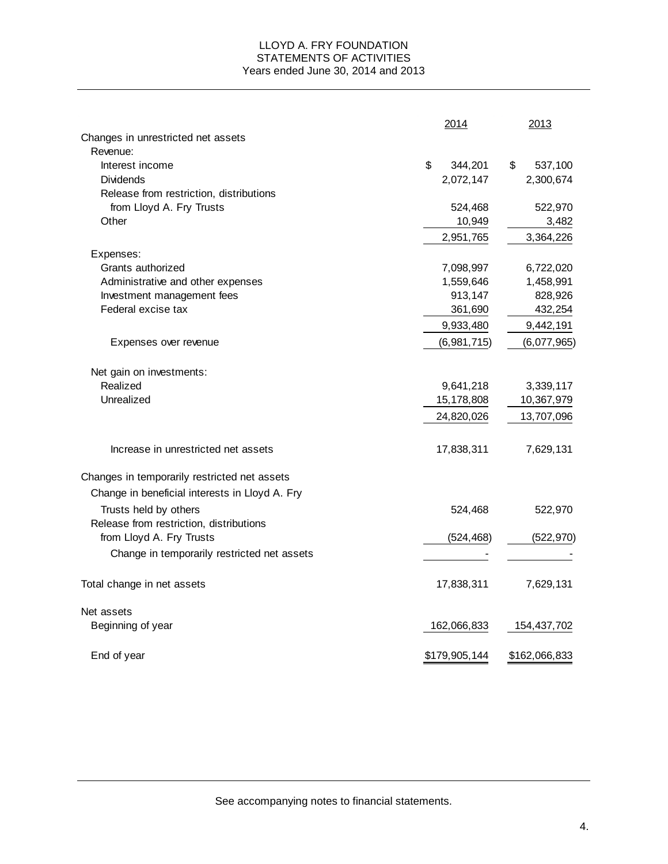### LLOYD A. FRY FOUNDATION STATEMENTS OF ACTIVITIES Years ended June 30, 2014 and 2013

|                                                | 2014          | 2013          |
|------------------------------------------------|---------------|---------------|
| Changes in unrestricted net assets             |               |               |
| Revenue:                                       |               |               |
| Interest income                                | \$<br>344,201 | \$<br>537,100 |
| <b>Dividends</b>                               | 2,072,147     | 2,300,674     |
| Release from restriction, distributions        |               |               |
| from Lloyd A. Fry Trusts                       | 524,468       | 522,970       |
| Other                                          | 10,949        | 3,482         |
|                                                | 2,951,765     | 3,364,226     |
| Expenses:                                      |               |               |
| Grants authorized                              | 7,098,997     | 6,722,020     |
| Administrative and other expenses              | 1,559,646     | 1,458,991     |
| Investment management fees                     | 913,147       | 828,926       |
| Federal excise tax                             | 361,690       | 432,254       |
|                                                | 9,933,480     | 9,442,191     |
| Expenses over revenue                          | (6,981,715)   | (6,077,965)   |
| Net gain on investments:                       |               |               |
| Realized                                       | 9,641,218     | 3,339,117     |
| Unrealized                                     | 15,178,808    | 10,367,979    |
|                                                | 24,820,026    | 13,707,096    |
| Increase in unrestricted net assets            | 17,838,311    | 7,629,131     |
| Changes in temporarily restricted net assets   |               |               |
| Change in beneficial interests in Lloyd A. Fry |               |               |
| Trusts held by others                          | 524,468       | 522,970       |
| Release from restriction, distributions        |               |               |
| from Lloyd A. Fry Trusts                       | (524, 468)    | (522, 970)    |
| Change in temporarily restricted net assets    |               |               |
| Total change in net assets                     | 17,838,311    | 7,629,131     |
| Net assets                                     |               |               |
| Beginning of year                              | 162,066,833   | 154,437,702   |
| End of year                                    | \$179,905,144 | \$162,066,833 |

See accompanying notes to financial statements.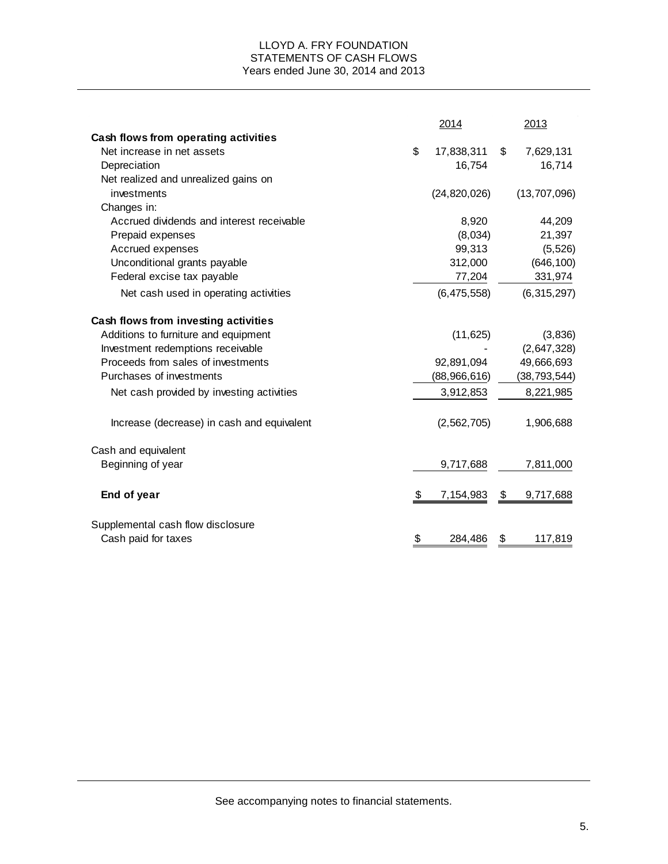### LLOYD A. FRY FOUNDATION STATEMENTS OF CASH FLOWS Years ended June 30, 2014 and 2013

|                                            | 2014             | 2013            |
|--------------------------------------------|------------------|-----------------|
| Cash flows from operating activities       |                  |                 |
| Net increase in net assets                 | \$<br>17,838,311 | \$<br>7,629,131 |
| Depreciation                               | 16,754           | 16,714          |
| Net realized and unrealized gains on       |                  |                 |
| investments                                | (24, 820, 026)   | (13,707,096)    |
| Changes in:                                |                  |                 |
| Accrued dividends and interest receivable  | 8,920            | 44,209          |
| Prepaid expenses                           | (8,034)          | 21,397          |
| Accrued expenses                           | 99,313           | (5, 526)        |
| Unconditional grants payable               | 312,000          | (646, 100)      |
| Federal excise tax payable                 | 77,204           | 331,974         |
| Net cash used in operating activities      | (6, 475, 558)    | (6,315,297)     |
| Cash flows from investing activities       |                  |                 |
| Additions to furniture and equipment       | (11, 625)        | (3,836)         |
| Investment redemptions receivable          |                  | (2,647,328)     |
| Proceeds from sales of investments         | 92,891,094       | 49,666,693      |
| Purchases of investments                   | (88,966,616)     | (38, 793, 544)  |
| Net cash provided by investing activities  | 3,912,853        | 8,221,985       |
| Increase (decrease) in cash and equivalent | (2, 562, 705)    | 1,906,688       |
| Cash and equivalent                        |                  |                 |
| Beginning of year                          | 9,717,688        | 7,811,000       |
| End of year                                | \$<br>7,154,983  | \$<br>9,717,688 |
| Supplemental cash flow disclosure          |                  |                 |
| Cash paid for taxes                        | \$<br>284,486    | \$<br>117,819   |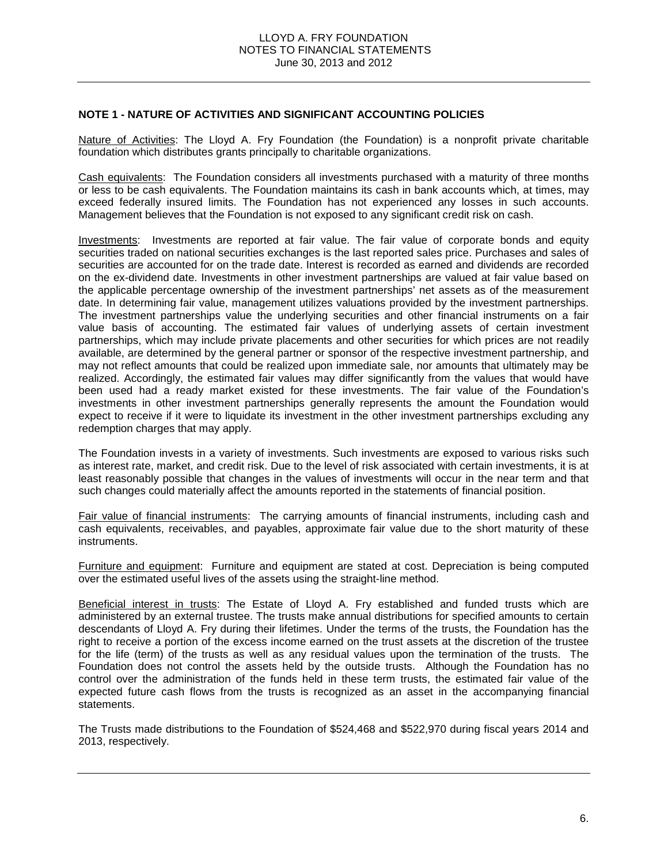### **NOTE 1 - NATURE OF ACTIVITIES AND SIGNIFICANT ACCOUNTING POLICIES**

Nature of Activities: The Lloyd A. Fry Foundation (the Foundation) is a nonprofit private charitable foundation which distributes grants principally to charitable organizations.

Cash equivalents: The Foundation considers all investments purchased with a maturity of three months or less to be cash equivalents. The Foundation maintains its cash in bank accounts which, at times, may exceed federally insured limits. The Foundation has not experienced any losses in such accounts. Management believes that the Foundation is not exposed to any significant credit risk on cash.

Investments: Investments are reported at fair value. The fair value of corporate bonds and equity securities traded on national securities exchanges is the last reported sales price. Purchases and sales of securities are accounted for on the trade date. Interest is recorded as earned and dividends are recorded on the ex-dividend date. Investments in other investment partnerships are valued at fair value based on the applicable percentage ownership of the investment partnerships' net assets as of the measurement date. In determining fair value, management utilizes valuations provided by the investment partnerships. The investment partnerships value the underlying securities and other financial instruments on a fair value basis of accounting. The estimated fair values of underlying assets of certain investment partnerships, which may include private placements and other securities for which prices are not readily available, are determined by the general partner or sponsor of the respective investment partnership, and may not reflect amounts that could be realized upon immediate sale, nor amounts that ultimately may be realized. Accordingly, the estimated fair values may differ significantly from the values that would have been used had a ready market existed for these investments. The fair value of the Foundation's investments in other investment partnerships generally represents the amount the Foundation would expect to receive if it were to liquidate its investment in the other investment partnerships excluding any redemption charges that may apply.

The Foundation invests in a variety of investments. Such investments are exposed to various risks such as interest rate, market, and credit risk. Due to the level of risk associated with certain investments, it is at least reasonably possible that changes in the values of investments will occur in the near term and that such changes could materially affect the amounts reported in the statements of financial position.

Fair value of financial instruments: The carrying amounts of financial instruments, including cash and cash equivalents, receivables, and payables, approximate fair value due to the short maturity of these instruments.

Furniture and equipment: Furniture and equipment are stated at cost. Depreciation is being computed over the estimated useful lives of the assets using the straight-line method.

Beneficial interest in trusts: The Estate of Lloyd A. Fry established and funded trusts which are administered by an external trustee. The trusts make annual distributions for specified amounts to certain descendants of Lloyd A. Fry during their lifetimes. Under the terms of the trusts, the Foundation has the right to receive a portion of the excess income earned on the trust assets at the discretion of the trustee for the life (term) of the trusts as well as any residual values upon the termination of the trusts. The Foundation does not control the assets held by the outside trusts. Although the Foundation has no control over the administration of the funds held in these term trusts, the estimated fair value of the expected future cash flows from the trusts is recognized as an asset in the accompanying financial statements.

The Trusts made distributions to the Foundation of \$524,468 and \$522,970 during fiscal years 2014 and 2013, respectively.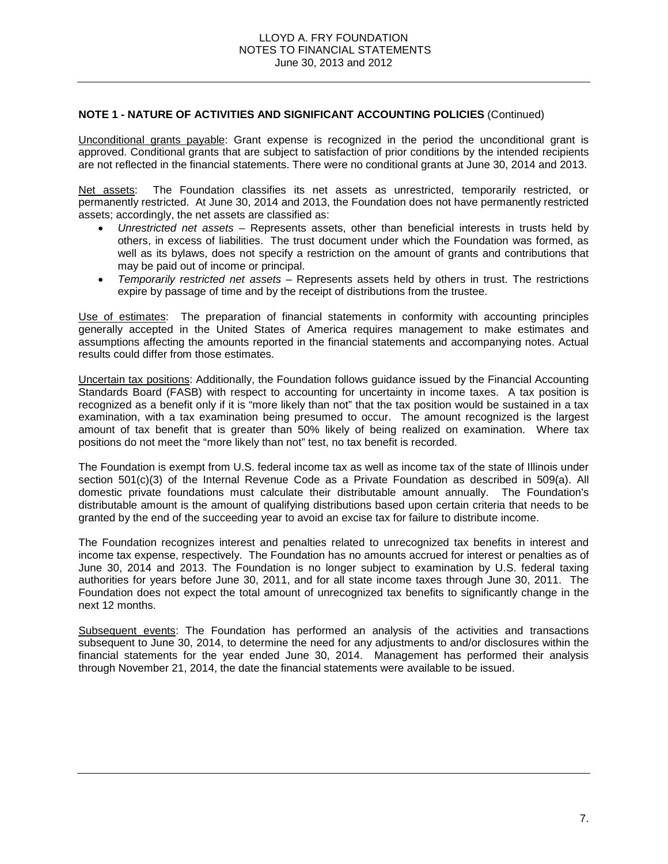### **NOTE 1 - NATURE OF ACTIVITIES AND SIGNIFICANT ACCOUNTING POLICIES** (Continued)

Unconditional grants payable: Grant expense is recognized in the period the unconditional grant is approved. Conditional grants that are subject to satisfaction of prior conditions by the intended recipients are not reflected in the financial statements. There were no conditional grants at June 30, 2014 and 2013.

Net assets: The Foundation classifies its net assets as unrestricted, temporarily restricted, or permanently restricted. At June 30, 2014 and 2013, the Foundation does not have permanently restricted assets; accordingly, the net assets are classified as:

- *Unrestricted net assets* Represents assets, other than beneficial interests in trusts held by others, in excess of liabilities. The trust document under which the Foundation was formed, as well as its bylaws, does not specify a restriction on the amount of grants and contributions that may be paid out of income or principal.
- *Temporarily restricted net assets*  Represents assets held by others in trust. The restrictions expire by passage of time and by the receipt of distributions from the trustee.

Use of estimates: The preparation of financial statements in conformity with accounting principles generally accepted in the United States of America requires management to make estimates and assumptions affecting the amounts reported in the financial statements and accompanying notes. Actual results could differ from those estimates.

Uncertain tax positions: Additionally, the Foundation follows guidance issued by the Financial Accounting Standards Board (FASB) with respect to accounting for uncertainty in income taxes. A tax position is recognized as a benefit only if it is "more likely than not" that the tax position would be sustained in a tax examination, with a tax examination being presumed to occur. The amount recognized is the largest amount of tax benefit that is greater than 50% likely of being realized on examination. Where tax positions do not meet the "more likely than not" test, no tax benefit is recorded.

The Foundation is exempt from U.S. federal income tax as well as income tax of the state of Illinois under section 501(c)(3) of the Internal Revenue Code as a Private Foundation as described in 509(a). All domestic private foundations must calculate their distributable amount annually. The Foundation's distributable amount is the amount of qualifying distributions based upon certain criteria that needs to be granted by the end of the succeeding year to avoid an excise tax for failure to distribute income.

The Foundation recognizes interest and penalties related to unrecognized tax benefits in interest and income tax expense, respectively. The Foundation has no amounts accrued for interest or penalties as of June 30, 2014 and 2013. The Foundation is no longer subject to examination by U.S. federal taxing authorities for years before June 30, 2011, and for all state income taxes through June 30, 2011. The Foundation does not expect the total amount of unrecognized tax benefits to significantly change in the next 12 months.

Subsequent events: The Foundation has performed an analysis of the activities and transactions subsequent to June 30, 2014, to determine the need for any adjustments to and/or disclosures within the financial statements for the year ended June 30, 2014. Management has performed their analysis through November 21, 2014, the date the financial statements were available to be issued.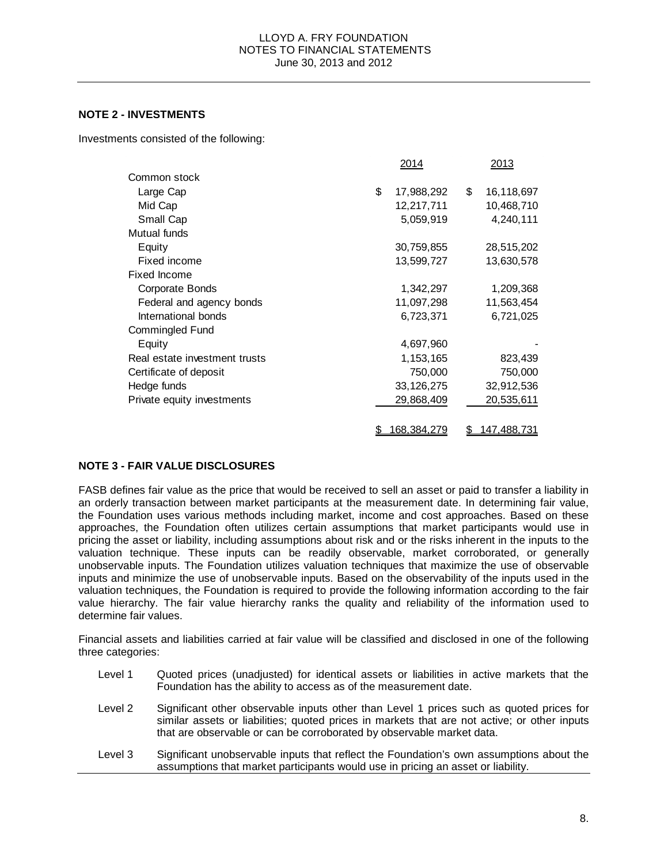# **NOTE 2 - INVESTMENTS**

Investments consisted of the following:

|                               | <u> 2014</u>     |    | <u> 2013</u>       |
|-------------------------------|------------------|----|--------------------|
| Common stock                  |                  |    |                    |
| Large Cap                     | \$<br>17,988,292 | \$ | 16,118,697         |
| Mid Cap                       | 12,217,711       |    | 10,468,710         |
| Small Cap                     | 5,059,919        |    | 4,240,111          |
| Mutual funds                  |                  |    |                    |
| Equity                        | 30,759,855       |    | 28,515,202         |
| Fixed income                  | 13,599,727       |    | 13,630,578         |
| Fixed Income                  |                  |    |                    |
| Corporate Bonds               | 1,342,297        |    | 1,209,368          |
| Federal and agency bonds      | 11,097,298       |    | 11,563,454         |
| International bonds           | 6,723,371        |    | 6,721,025          |
| Commingled Fund               |                  |    |                    |
| Equity                        | 4,697,960        |    |                    |
| Real estate investment trusts | 1,153,165        |    | 823,439            |
| Certificate of deposit        | 750,000          |    | 750,000            |
| Hedge funds                   | 33, 126, 275     |    | 32,912,536         |
| Private equity investments    | 29,868,409       |    | 20,535,611         |
|                               |                  |    |                    |
|                               | 68,384,279       | S  | <u>147.488.731</u> |

# **NOTE 3 - FAIR VALUE DISCLOSURES**

FASB defines fair value as the price that would be received to sell an asset or paid to transfer a liability in an orderly transaction between market participants at the measurement date. In determining fair value, the Foundation uses various methods including market, income and cost approaches. Based on these approaches, the Foundation often utilizes certain assumptions that market participants would use in pricing the asset or liability, including assumptions about risk and or the risks inherent in the inputs to the valuation technique. These inputs can be readily observable, market corroborated, or generally unobservable inputs. The Foundation utilizes valuation techniques that maximize the use of observable inputs and minimize the use of unobservable inputs. Based on the observability of the inputs used in the valuation techniques, the Foundation is required to provide the following information according to the fair value hierarchy. The fair value hierarchy ranks the quality and reliability of the information used to determine fair values.

Financial assets and liabilities carried at fair value will be classified and disclosed in one of the following three categories:

- Level 1 Quoted prices (unadjusted) for identical assets or liabilities in active markets that the Foundation has the ability to access as of the measurement date.
- Level 2 Significant other observable inputs other than Level 1 prices such as quoted prices for similar assets or liabilities; quoted prices in markets that are not active; or other inputs that are observable or can be corroborated by observable market data.
- Level 3 Significant unobservable inputs that reflect the Foundation's own assumptions about the assumptions that market participants would use in pricing an asset or liability.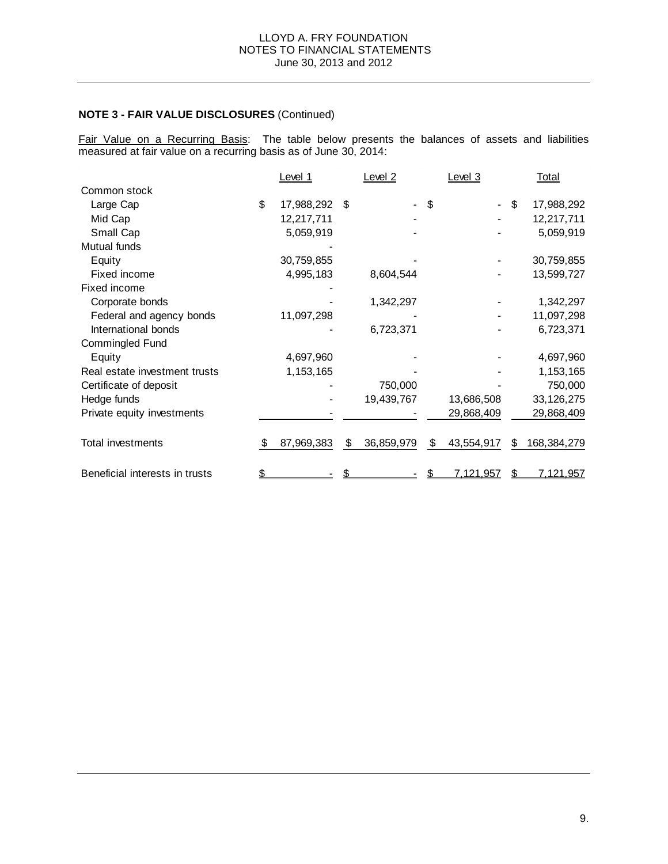Fair Value on a Recurring Basis: The table below presents the balances of assets and liabilities measured at fair value on a recurring basis as of June 30, 2014:

|                                | Level 1          |    | Level 2    | Level 3          | <b>Total</b>      |
|--------------------------------|------------------|----|------------|------------------|-------------------|
| Common stock                   |                  |    |            |                  |                   |
| Large Cap                      | \$<br>17,988,292 | \$ |            | \$               | \$<br>17,988,292  |
| Mid Cap                        | 12,217,711       |    |            |                  | 12,217,711        |
| Small Cap                      | 5,059,919        |    |            |                  | 5,059,919         |
| Mutual funds                   |                  |    |            |                  |                   |
| Equity                         | 30,759,855       |    |            |                  | 30,759,855        |
| Fixed income                   | 4,995,183        |    | 8,604,544  |                  | 13,599,727        |
| Fixed income                   |                  |    |            |                  |                   |
| Corporate bonds                |                  |    | 1,342,297  |                  | 1,342,297         |
| Federal and agency bonds       | 11,097,298       |    |            |                  | 11,097,298        |
| International bonds            |                  |    | 6,723,371  |                  | 6,723,371         |
| Commingled Fund                |                  |    |            |                  |                   |
| Equity                         | 4,697,960        |    |            |                  | 4,697,960         |
| Real estate investment trusts  | 1,153,165        |    |            |                  | 1,153,165         |
| Certificate of deposit         |                  |    | 750,000    |                  | 750,000           |
| Hedge funds                    |                  |    | 19,439,767 | 13,686,508       | 33, 126, 275      |
| Private equity investments     |                  |    |            | 29,868,409       | 29,868,409        |
| Total investments              | 87,969,383       | S  | 36,859,979 | \$<br>43,554,917 | \$<br>168,384,279 |
| Beneficial interests in trusts |                  |    |            | <u>7,121,957</u> | 7,121,957         |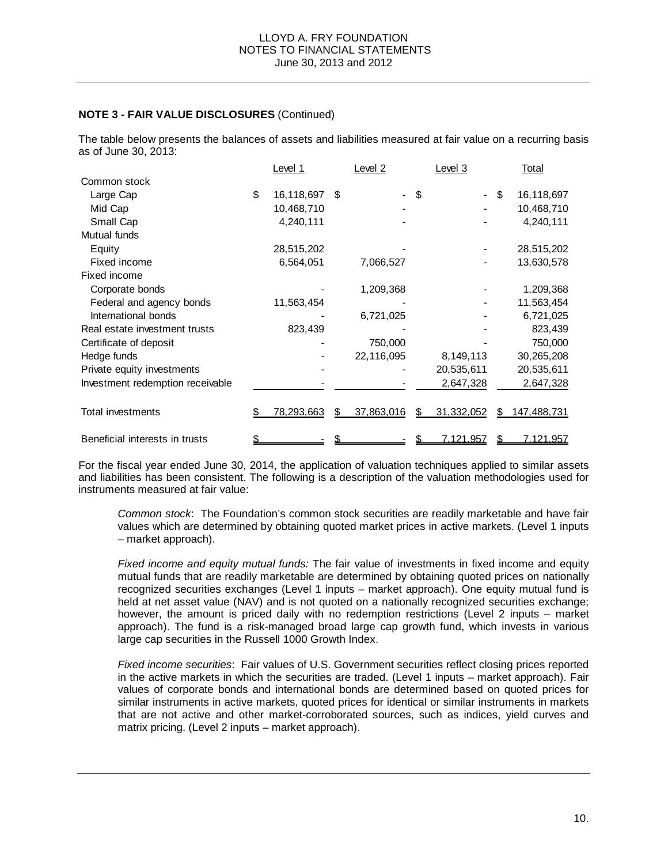The table below presents the balances of assets and liabilities measured at fair value on a recurring basis as of June 30, 2013:

|                                  | Level 1           |     | <u>Level 2</u> | Level 3          | <u>Total</u>       |
|----------------------------------|-------------------|-----|----------------|------------------|--------------------|
| Common stock                     |                   |     |                |                  |                    |
| Large Cap                        | \$<br>16,118,697  | \$. |                | \$               | \$<br>16,118,697   |
| Mid Cap                          | 10,468,710        |     |                |                  | 10,468,710         |
| Small Cap                        | 4,240,111         |     |                |                  | 4,240,111          |
| Mutual funds                     |                   |     |                |                  |                    |
| Equity                           | 28,515,202        |     |                |                  | 28,515,202         |
| Fixed income                     | 6,564,051         |     | 7,066,527      |                  | 13,630,578         |
| Fixed income                     |                   |     |                |                  |                    |
| Corporate bonds                  |                   |     | 1,209,368      |                  | 1,209,368          |
| Federal and agency bonds         | 11,563,454        |     |                |                  | 11,563,454         |
| International bonds              |                   |     | 6,721,025      |                  | 6,721,025          |
| Real estate investment trusts    | 823,439           |     |                |                  | 823,439            |
| Certificate of deposit           |                   |     | 750,000        |                  | 750,000            |
| Hedge funds                      |                   |     | 22,116,095     | 8,149,113        | 30,265,208         |
| Private equity investments       |                   |     |                | 20,535,611       | 20,535,611         |
| Investment redemption receivable |                   |     |                | 2,647,328        | 2,647,328          |
|                                  |                   |     |                |                  |                    |
| Total investments                | <u>78.293.663</u> |     | 37.863.016     | 31.332.052       | <u>147.488.731</u> |
|                                  |                   |     |                |                  |                    |
| Beneficial interests in trusts   |                   |     |                | <u>7,121,957</u> | <u>7.121.957</u>   |

For the fiscal year ended June 30, 2014, the application of valuation techniques applied to similar assets and liabilities has been consistent. The following is a description of the valuation methodologies used for instruments measured at fair value:

*Common stock*: The Foundation's common stock securities are readily marketable and have fair values which are determined by obtaining quoted market prices in active markets. (Level 1 inputs – market approach).

*Fixed income and equity mutual funds:* The fair value of investments in fixed income and equity mutual funds that are readily marketable are determined by obtaining quoted prices on nationally recognized securities exchanges (Level 1 inputs – market approach). One equity mutual fund is held at net asset value (NAV) and is not quoted on a nationally recognized securities exchange; however, the amount is priced daily with no redemption restrictions (Level 2 inputs – market approach). The fund is a risk-managed broad large cap growth fund, which invests in various large cap securities in the Russell 1000 Growth Index.

*Fixed income securities*: Fair values of U.S. Government securities reflect closing prices reported in the active markets in which the securities are traded. (Level 1 inputs – market approach). Fair values of corporate bonds and international bonds are determined based on quoted prices for similar instruments in active markets, quoted prices for identical or similar instruments in markets that are not active and other market-corroborated sources, such as indices, yield curves and matrix pricing. (Level 2 inputs – market approach).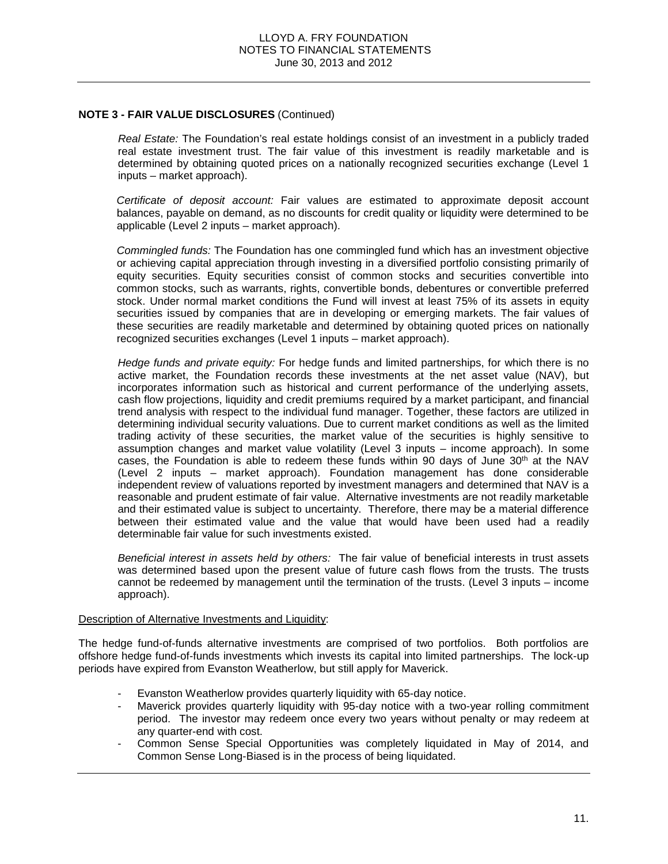*Real Estate:* The Foundation's real estate holdings consist of an investment in a publicly traded real estate investment trust. The fair value of this investment is readily marketable and is determined by obtaining quoted prices on a nationally recognized securities exchange (Level 1 inputs – market approach).

*Certificate of deposit account:* Fair values are estimated to approximate deposit account balances, payable on demand, as no discounts for credit quality or liquidity were determined to be applicable (Level 2 inputs – market approach).

*Commingled funds:* The Foundation has one commingled fund which has an investment objective or achieving capital appreciation through investing in a diversified portfolio consisting primarily of equity securities. Equity securities consist of common stocks and securities convertible into common stocks, such as warrants, rights, convertible bonds, debentures or convertible preferred stock. Under normal market conditions the Fund will invest at least 75% of its assets in equity securities issued by companies that are in developing or emerging markets. The fair values of these securities are readily marketable and determined by obtaining quoted prices on nationally recognized securities exchanges (Level 1 inputs – market approach).

*Hedge funds and private equity:* For hedge funds and limited partnerships, for which there is no active market, the Foundation records these investments at the net asset value (NAV), but incorporates information such as historical and current performance of the underlying assets, cash flow projections, liquidity and credit premiums required by a market participant, and financial trend analysis with respect to the individual fund manager. Together, these factors are utilized in determining individual security valuations. Due to current market conditions as well as the limited trading activity of these securities, the market value of the securities is highly sensitive to assumption changes and market value volatility (Level 3 inputs – income approach). In some cases, the Foundation is able to redeem these funds within 90 days of June  $30<sup>th</sup>$  at the NAV (Level 2 inputs – market approach). Foundation management has done considerable independent review of valuations reported by investment managers and determined that NAV is a reasonable and prudent estimate of fair value. Alternative investments are not readily marketable and their estimated value is subject to uncertainty. Therefore, there may be a material difference between their estimated value and the value that would have been used had a readily determinable fair value for such investments existed.

*Beneficial interest in assets held by others:* The fair value of beneficial interests in trust assets was determined based upon the present value of future cash flows from the trusts. The trusts cannot be redeemed by management until the termination of the trusts. (Level 3 inputs – income approach).

#### Description of Alternative Investments and Liquidity:

The hedge fund-of-funds alternative investments are comprised of two portfolios. Both portfolios are offshore hedge fund-of-funds investments which invests its capital into limited partnerships. The lock-up periods have expired from Evanston Weatherlow, but still apply for Maverick.

- Evanston Weatherlow provides quarterly liquidity with 65-day notice.
- Maverick provides quarterly liquidity with 95-day notice with a two-year rolling commitment period. The investor may redeem once every two years without penalty or may redeem at any quarter-end with cost.
- Common Sense Special Opportunities was completely liquidated in May of 2014, and Common Sense Long-Biased is in the process of being liquidated.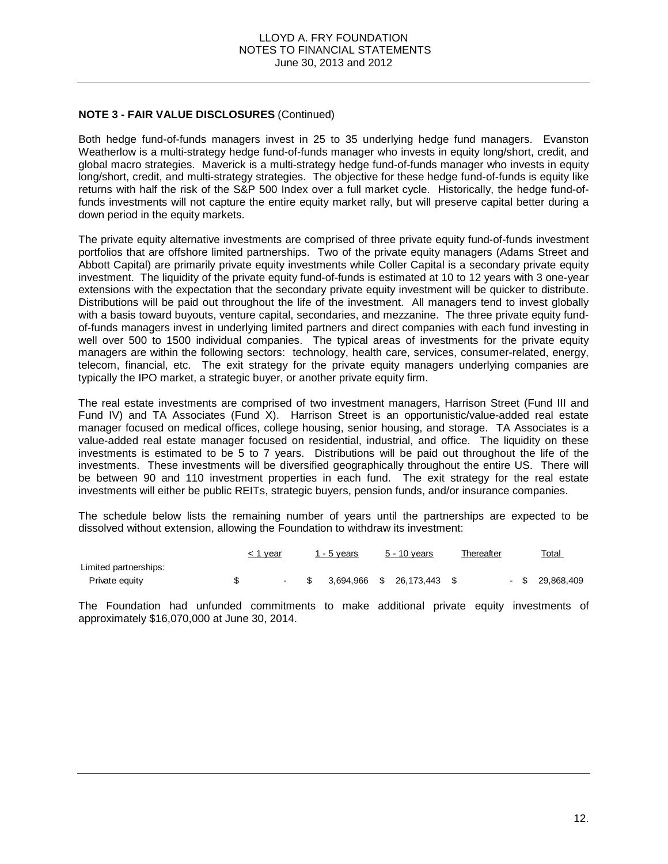Both hedge fund-of-funds managers invest in 25 to 35 underlying hedge fund managers. Evanston Weatherlow is a multi-strategy hedge fund-of-funds manager who invests in equity long/short, credit, and global macro strategies. Maverick is a multi-strategy hedge fund-of-funds manager who invests in equity long/short, credit, and multi-strategy strategies. The objective for these hedge fund-of-funds is equity like returns with half the risk of the S&P 500 Index over a full market cycle. Historically, the hedge fund-offunds investments will not capture the entire equity market rally, but will preserve capital better during a down period in the equity markets.

The private equity alternative investments are comprised of three private equity fund-of-funds investment portfolios that are offshore limited partnerships. Two of the private equity managers (Adams Street and Abbott Capital) are primarily private equity investments while Coller Capital is a secondary private equity investment. The liquidity of the private equity fund-of-funds is estimated at 10 to 12 years with 3 one-year extensions with the expectation that the secondary private equity investment will be quicker to distribute. Distributions will be paid out throughout the life of the investment. All managers tend to invest globally with a basis toward buyouts, venture capital, secondaries, and mezzanine. The three private equity fundof-funds managers invest in underlying limited partners and direct companies with each fund investing in well over 500 to 1500 individual companies. The typical areas of investments for the private equity managers are within the following sectors: technology, health care, services, consumer-related, energy, telecom, financial, etc. The exit strategy for the private equity managers underlying companies are typically the IPO market, a strategic buyer, or another private equity firm.

The real estate investments are comprised of two investment managers, Harrison Street (Fund III and Fund IV) and TA Associates (Fund X). Harrison Street is an opportunistic/value-added real estate manager focused on medical offices, college housing, senior housing, and storage. TA Associates is a value-added real estate manager focused on residential, industrial, and office. The liquidity on these investments is estimated to be 5 to 7 years. Distributions will be paid out throughout the life of the investments. These investments will be diversified geographically throughout the entire US. There will be between 90 and 110 investment properties in each fund. The exit strategy for the real estate investments will either be public REITs, strategic buyers, pension funds, and/or insurance companies.

The schedule below lists the remaining number of years until the partnerships are expected to be dissolved without extension, allowing the Foundation to withdraw its investment:

|                       | $<$ 1 year |          | 1 - 5 years |  | 5 - 10 years               | Thereafter | <u>Total</u>      |
|-----------------------|------------|----------|-------------|--|----------------------------|------------|-------------------|
| Limited partnerships: |            |          |             |  |                            |            |                   |
| Private equity        |            | $\sim$ s |             |  | 3,694,966 \$ 26,173,443 \$ |            | $-$ \$ 29,868,409 |

The Foundation had unfunded commitments to make additional private equity investments of approximately \$16,070,000 at June 30, 2014.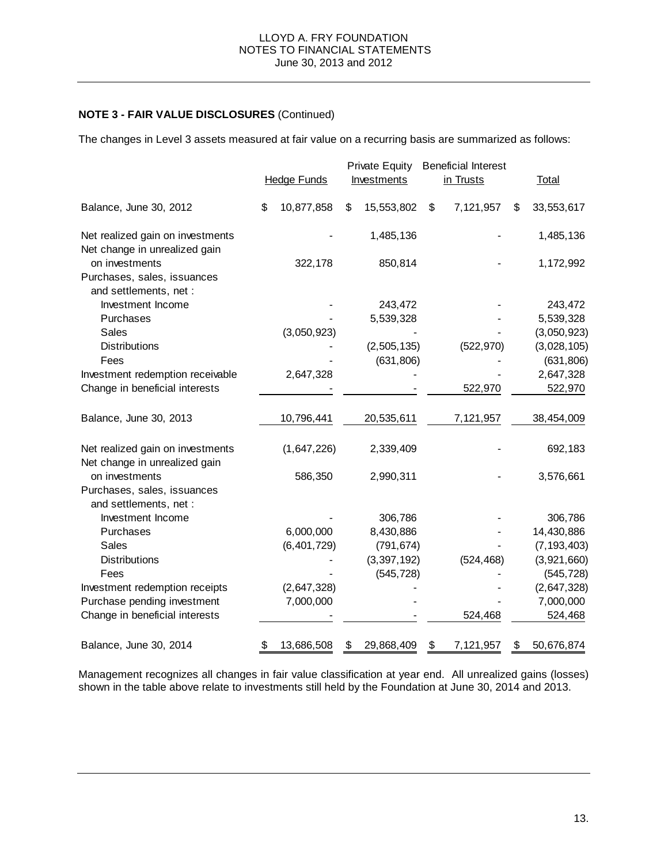The changes in Level 3 assets measured at fair value on a recurring basis are summarized as follows:

|                                                                   | <b>Hedge Funds</b> |    | <b>Private Equity</b><br><b>Investments</b> | <b>Beneficial Interest</b><br>in Trusts | <b>Total</b>     |
|-------------------------------------------------------------------|--------------------|----|---------------------------------------------|-----------------------------------------|------------------|
| Balance, June 30, 2012                                            | \$<br>10,877,858   | \$ | 15,553,802                                  | \$<br>7,121,957                         | \$<br>33,553,617 |
| Net realized gain on investments                                  |                    |    | 1,485,136                                   |                                         | 1,485,136        |
| Net change in unrealized gain<br>on investments                   |                    |    |                                             |                                         |                  |
| Purchases, sales, issuances<br>and settlements, net :             | 322,178            |    | 850,814                                     |                                         | 1,172,992        |
| Investment Income                                                 |                    |    | 243,472                                     |                                         | 243,472          |
| Purchases                                                         |                    |    | 5,539,328                                   |                                         | 5,539,328        |
| Sales                                                             | (3,050,923)        |    |                                             |                                         | (3,050,923)      |
| <b>Distributions</b>                                              |                    |    | (2,505,135)                                 | (522, 970)                              | (3,028,105)      |
| Fees                                                              |                    |    | (631, 806)                                  |                                         | (631, 806)       |
| Investment redemption receivable                                  | 2,647,328          |    |                                             |                                         | 2,647,328        |
| Change in beneficial interests                                    |                    |    |                                             | 522,970                                 | 522,970          |
| Balance, June 30, 2013                                            | 10,796,441         |    | 20,535,611                                  | 7,121,957                               | 38,454,009       |
| Net realized gain on investments<br>Net change in unrealized gain | (1,647,226)        |    | 2,339,409                                   |                                         | 692,183          |
| on investments                                                    | 586,350            |    | 2,990,311                                   |                                         | 3,576,661        |
| Purchases, sales, issuances<br>and settlements, net :             |                    |    |                                             |                                         |                  |
| Investment Income                                                 |                    |    | 306,786                                     |                                         | 306,786          |
| Purchases                                                         | 6,000,000          |    | 8,430,886                                   |                                         | 14,430,886       |
| Sales                                                             | (6,401,729)        |    | (791, 674)                                  |                                         | (7, 193, 403)    |
| <b>Distributions</b>                                              |                    |    | (3, 397, 192)                               | (524, 468)                              | (3,921,660)      |
| Fees                                                              |                    |    | (545, 728)                                  |                                         | (545, 728)       |
| Investment redemption receipts                                    | (2,647,328)        |    |                                             |                                         | (2,647,328)      |
| Purchase pending investment                                       | 7,000,000          |    |                                             |                                         | 7,000,000        |
| Change in beneficial interests                                    |                    |    |                                             | 524,468                                 | 524,468          |
| Balance, June 30, 2014                                            | \$<br>13,686,508   | S  | 29,868,409                                  | \$<br>7,121,957                         | \$<br>50,676,874 |

Management recognizes all changes in fair value classification at year end. All unrealized gains (losses) shown in the table above relate to investments still held by the Foundation at June 30, 2014 and 2013.